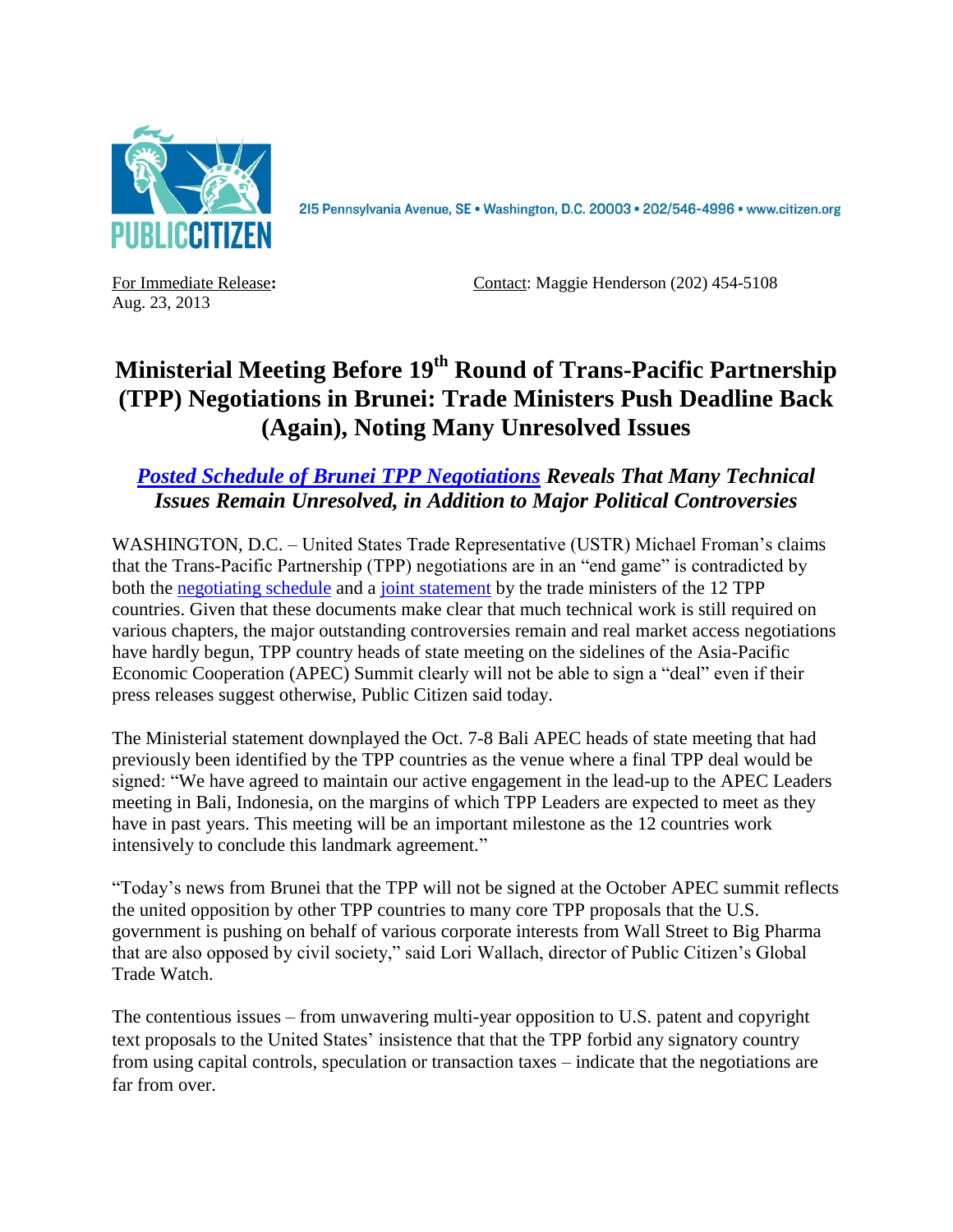

2I5 Pennsylvania Avenue, SE · Washington, D.C. 20003 · 202/546-4996 · www.citizen.org

Aug. 23, 2013

For Immediate Release: Contact: Maggie Henderson (202) 454-5108

## **Ministerial Meeting Before 19th Round of Trans-Pacific Partnership (TPP) Negotiations in Brunei: Trade Ministers Push Deadline Back (Again), Noting Many Unresolved Issues**

## *[Posted Schedule of Brunei TPP Negotiations](http://www.citizen.org/~/view.image?id=2786) Reveals That Many Technical Issues Remain Unresolved, in Addition to Major Political Controversies*

WASHINGTON, D.C. – United States Trade Representative (USTR) Michael Froman's claims that the Trans-Pacific Partnership (TPP) negotiations are in an "end game" is contradicted by both the [negotiating schedule](http://www.citizen.org/~/view.image?id=2786) and a [joint statement](http://www.ustr.gov/Joint-Press-Statement-TPP-Ministerial-Brunei) by the trade ministers of the 12 TPP countries. Given that these documents make clear that much technical work is still required on various chapters, the major outstanding controversies remain and real market access negotiations have hardly begun, TPP country heads of state meeting on the sidelines of the Asia-Pacific Economic Cooperation (APEC) Summit clearly will not be able to sign a "deal" even if their press releases suggest otherwise, Public Citizen said today.

The Ministerial statement downplayed the Oct. 7-8 Bali APEC heads of state meeting that had previously been identified by the TPP countries as the venue where a final TPP deal would be signed: "We have agreed to maintain our active engagement in the lead-up to the APEC Leaders meeting in Bali, Indonesia, on the margins of which TPP Leaders are expected to meet as they have in past years. This meeting will be an important milestone as the 12 countries work intensively to conclude this landmark agreement."

"Today's news from Brunei that the TPP will not be signed at the October APEC summit reflects the united opposition by other TPP countries to many core TPP proposals that the U.S. government is pushing on behalf of various corporate interests from Wall Street to Big Pharma that are also opposed by civil society," said Lori Wallach, director of Public Citizen's Global Trade Watch.

The contentious issues – from unwavering multi-year opposition to U.S. patent and copyright text proposals to the United States' insistence that that the TPP forbid any signatory country from using capital controls, speculation or transaction taxes – indicate that the negotiations are far from over.